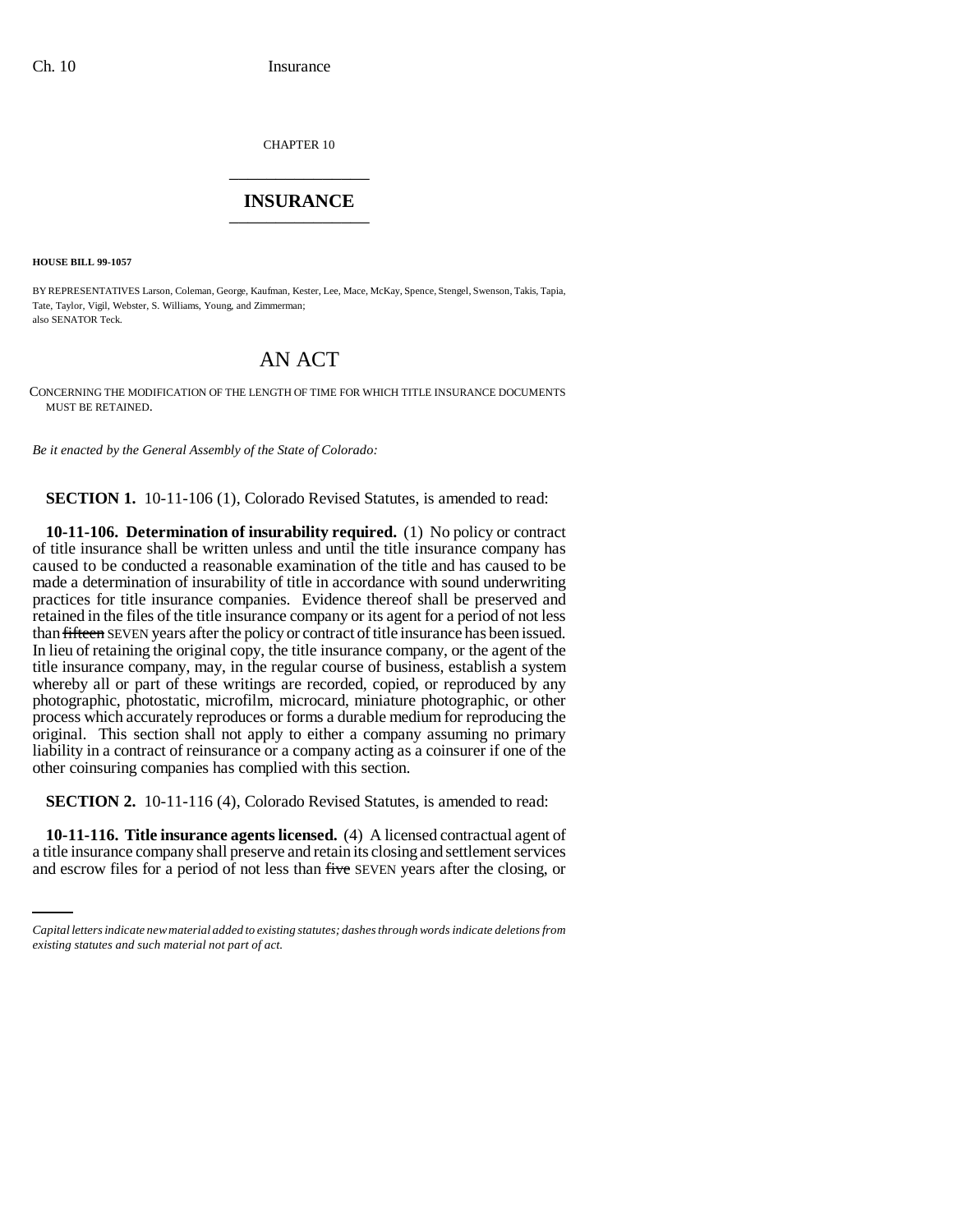CHAPTER 10 \_\_\_\_\_\_\_\_\_\_\_\_\_\_\_

## **INSURANCE** \_\_\_\_\_\_\_\_\_\_\_\_\_\_\_

**HOUSE BILL 99-1057** 

BY REPRESENTATIVES Larson, Coleman, George, Kaufman, Kester, Lee, Mace, McKay, Spence, Stengel, Swenson, Takis, Tapia, Tate, Taylor, Vigil, Webster, S. Williams, Young, and Zimmerman; also SENATOR Teck.

## AN ACT

CONCERNING THE MODIFICATION OF THE LENGTH OF TIME FOR WHICH TITLE INSURANCE DOCUMENTS MUST BE RETAINED.

*Be it enacted by the General Assembly of the State of Colorado:*

**SECTION 1.** 10-11-106 (1), Colorado Revised Statutes, is amended to read:

**10-11-106. Determination of insurability required.** (1) No policy or contract of title insurance shall be written unless and until the title insurance company has caused to be conducted a reasonable examination of the title and has caused to be made a determination of insurability of title in accordance with sound underwriting practices for title insurance companies. Evidence thereof shall be preserved and retained in the files of the title insurance company or its agent for a period of not less than fifteen SEVEN years after the policy or contract of title insurance has been issued. In lieu of retaining the original copy, the title insurance company, or the agent of the title insurance company, may, in the regular course of business, establish a system whereby all or part of these writings are recorded, copied, or reproduced by any photographic, photostatic, microfilm, microcard, miniature photographic, or other process which accurately reproduces or forms a durable medium for reproducing the original. This section shall not apply to either a company assuming no primary liability in a contract of reinsurance or a company acting as a coinsurer if one of the other coinsuring companies has complied with this section.

**SECTION 2.** 10-11-116 (4), Colorado Revised Statutes, is amended to read:

 **10-11-116. Title insurance agents licensed.** (4) A licensed contractual agent of a title insurance company shall preserve and retain its closing and settlement services and escrow files for a period of not less than five SEVEN years after the closing, or

*Capital letters indicate new material added to existing statutes; dashes through words indicate deletions from existing statutes and such material not part of act.*